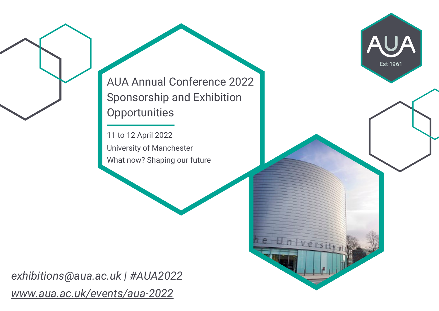AUA Annual Conference 2022 Sponsorship and Exhibition **Opportunities** 

Est 1961

11 to 12 April 2022 University of Manchester What now? Shaping our future

*exhibitions@aua.ac.uk | #AUA2022 [www.aua.ac.uk/events/aua-2022](https://aua.ac.uk/events/aua-2022/)*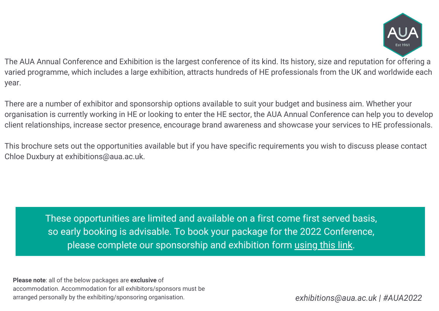

The AUA Annual Conference and Exhibition is the largest conference of its kind. Its history, size and reputation for offering a varied programme, which includes a large exhibition, attracts hundreds of HE professionals from the UK and worldwide each year.

There are a number of exhibitor and sponsorship options available to suit your budget and business aim. Whether your organisation is currently working in HE or looking to enter the HE sector, the AUA Annual Conference can help you to develop client relationships, increase sector presence, encourage brand awareness and showcase your services to HE professionals.

This brochure sets out the opportunities available but if you have specific requirements you wish to discuss please contact Chloe Duxbury at exhibitions@aua.ac.uk.

These opportunities are limited and available on a first come first served basis, so early booking is advisable. To book your package for the 2022 Conference, please complete our sponsorship and exhibition form [using](https://auaforms.wufoo.com/forms/aua-conference-2022-sponsorship-opportunities/) this link.

**Please note**: all of the below packages are **exclusive** of accommodation. Accommodation for all exhibitors/sponsors must be arranged personally by the exhibiting/sponsoring organisation.

*exhibitions@aua.ac.uk | #AUA2022*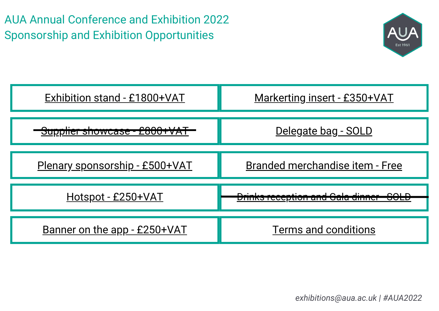AUA Annual Conference and Exhibition 2022 Sponsorship and Exhibition Opportunities



| Exhibition stand - £1800+VAT            | <u> Markerting insert - £350+VAT</u>   |  |  |
|-----------------------------------------|----------------------------------------|--|--|
| <del>Supplier showcase - £800+VA1</del> | Delegate bag - SOLD                    |  |  |
| Plenary sponsorship - £500+VAT          | <b>Branded merchandise item - Free</b> |  |  |
| <u> Hotspot - £250+VAT</u>              |                                        |  |  |
| Banner on the app - £250+VAT            | <b>Terms and conditions</b>            |  |  |

*exhibitions@aua.ac.uk | #AUA2022*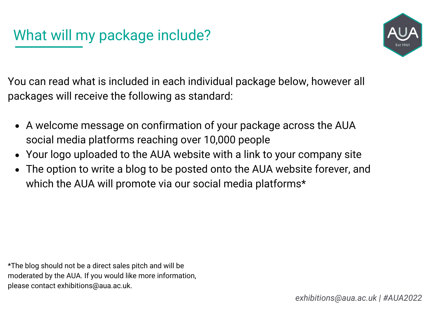

You can read what is included in each individual package below, however all packages will receive the following as standard:

- A welcome message on confirmation of your package across the AUA social media platforms reaching over 10,000 people
- Your logo uploaded to the AUA website with a link to your company site
- The option to write a blog to be posted onto the AUA website forever, and which the AUA will promote via our social media platforms\*

\*The blog should not be a direct sales pitch and will be moderated by the AUA. If you would like more information, please contact exhibitions@aua.ac.uk.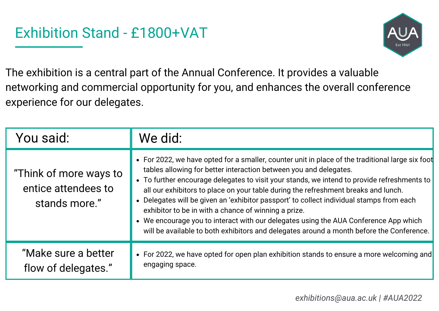

The exhibition is a central part of the Annual Conference. It provides a valuable networking and commercial opportunity for you, and enhances the overall conference experience for our delegates.

| You said:                                                      | We did:                                                                                                                                                                                                                                                                                                                                                                                                                                                                                                                                                                                                                                                                                            |
|----------------------------------------------------------------|----------------------------------------------------------------------------------------------------------------------------------------------------------------------------------------------------------------------------------------------------------------------------------------------------------------------------------------------------------------------------------------------------------------------------------------------------------------------------------------------------------------------------------------------------------------------------------------------------------------------------------------------------------------------------------------------------|
| "Think of more ways to<br>entice attendees to<br>stands more." | • For 2022, we have opted for a smaller, counter unit in place of the traditional large six foot<br>tables allowing for better interaction between you and delegates.<br>• To further encourage delegates to visit your stands, we intend to provide refreshments to<br>all our exhibitors to place on your table during the refreshment breaks and lunch.<br>• Delegates will be given an 'exhibitor passport' to collect individual stamps from each<br>exhibitor to be in with a chance of winning a prize.<br>• We encourage you to interact with our delegates using the AUA Conference App which<br>will be available to both exhibitors and delegates around a month before the Conference. |
| "Make sure a better<br>flow of delegates."                     | • For 2022, we have opted for open plan exhibition stands to ensure a more welcoming and<br>engaging space.                                                                                                                                                                                                                                                                                                                                                                                                                                                                                                                                                                                        |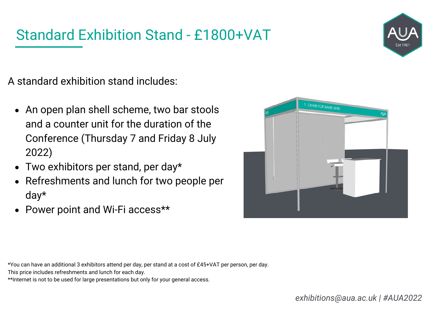### Standard Exhibition Stand - £1800+VAT



A standard exhibition stand includes:

- An open plan shell scheme, two bar stools and a counter unit for the duration of the Conference (Thursday 7 and Friday 8 July 2022)
- Two exhibitors per stand, per day\*
- Refreshments and lunch for two people per day\*
- Power point and Wi-Fi access\*\*



\*You can have an additional 3 exhibitors attend per day, per stand at a cost of £45+VAT per person, per day.

This price includes refreshments and lunch for each day.

\*\*Internet is not to be used for large presentations but only for your general access.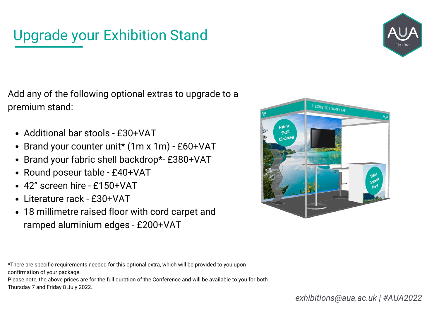# Upgrade your Exhibition Stand



Add any of the following optional extras to upgrade to a premium stand:

- Additional bar stools £30+VAT
- Brand your counter unit\* (1m x 1m) £60+VAT
- Brand your fabric shell backdrop\*- £380+VAT
- Round poseur table £40+VAT
- 42" screen hire £150+VAT
- Literature rack £30+VAT
- 18 millimetre raised floor with cord carpet and ramped aluminium edges - £200+VAT



\*There are specific requirements needed for this optional extra, which will be provided to you upon confirmation of your package.

Please note, the above prices are for the full duration of the Conference and will be available to you for both Thursday 7 and Friday 8 July 2022.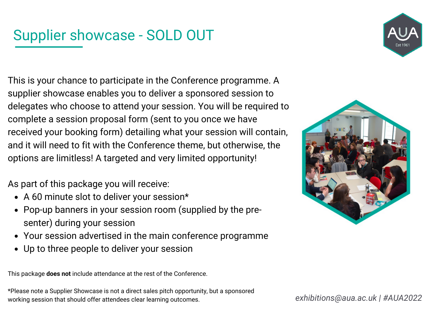# Supplier showcase - SOLD OUT



This is your chance to participate in the Conference programme. A supplier showcase enables you to deliver a sponsored session to delegates who choose to attend your session. You will be required to complete a session proposal form (sent to you once we have received your booking form) detailing what your session will contain, and it will need to fit with the Conference theme, but otherwise, the options are limitless! A targeted and very limited opportunity!

As part of this package you will receive:

- A 60 minute slot to deliver your session\*
- Pop-up banners in your session room (supplied by the presenter) during your session
- Your session advertised in the main conference programme
- Up to three people to deliver your session

This package **does not** include attendance at the rest of the Conference.

\*Please note a Supplier Showcase is not a direct sales pitch opportunity, but a sponsored working session that should offer attendees clear learning outcomes.



*exhibitions@aua.ac.uk | #AUA2022*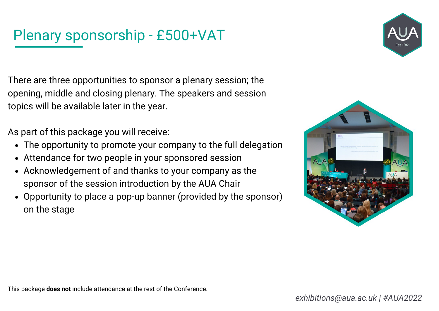# Plenary sponsorship - £500+VAT



There are three opportunities to sponsor a plenary session; the opening, middle and closing plenary. The speakers and session topics will be available later in the year.

As part of this package you will receive:

- The opportunity to promote your company to the full delegation
- Attendance for two people in your sponsored session
- Acknowledgement of and thanks to your company as the sponsor of the session introduction by the AUA Chair
- Opportunity to place a pop-up banner (provided by the sponsor) on the stage

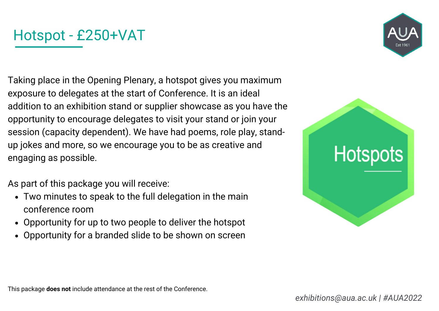### Hotspot - £250+VAT

Taking place in the Opening Plenary, a hotspot gives you maximum exposure to delegates at the start of Conference. It is an ideal addition to an exhibition stand or supplier showcase as you have the opportunity to encourage delegates to visit your stand or join your session (capacity dependent). We have had poems, role play, standup jokes and more, so we encourage you to be as creative and engaging as possible.

As part of this package you will receive:

- Two minutes to speak to the full delegation in the main conference room
- Opportunity for up to two people to deliver the hotspot  $\bullet$
- Opportunity for a branded slide to be shown on screen

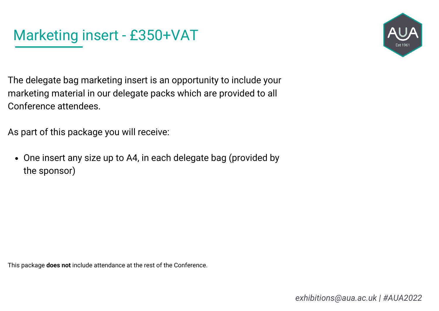

The delegate bag marketing insert is an opportunity to include your marketing material in our delegate packs which are provided to all Conference attendees.

As part of this package you will receive:

One insert any size up to A4, in each delegate bag (provided by the sponsor)

This package **does not** include attendance at the rest of the Conference.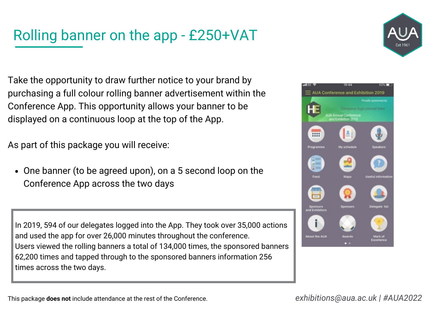# Rolling banner on the app - £250+VAT

Take the opportunity to draw further notice to your brand by purchasing a full colour rolling banner advertisement within the Conference App. This opportunity allows your banner to be displayed on a continuous loop at the top of the App.

As part of this package you will receive:

One banner (to be agreed upon), on a 5 second loop on the Conference App across the two days

In 2019, 594 of our delegates logged into the App. They took over 35,000 actions and used the app for over 26,000 minutes throughout the conference. Users viewed the rolling banners a total of 134,000 times, the sponsored banners 62,200 times and tapped through to the sponsored banners information 256 times across the two days.



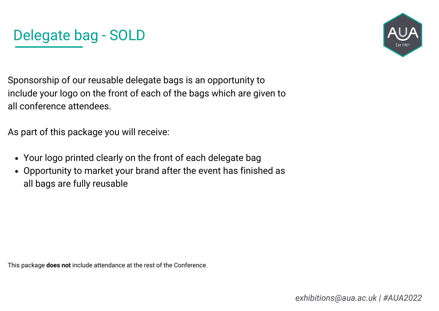



Sponsorship of our reusable delegate bags is an opportunity to include your logo on the front of each of the bags which are given to all conference attendees.

As part of this package you will receive:

- Your logo printed clearly on the front of each delegate bag
- Opportunity to market your brand after the event has finished as all bags are fully reusable

This package **does not** include attendance at the rest of the Conference.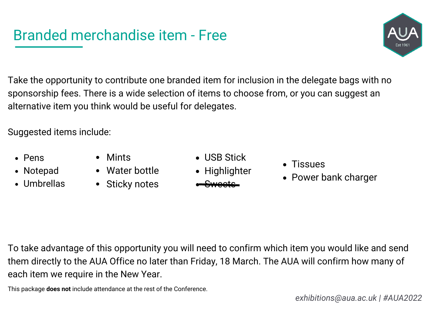### Branded merchandise item - Free

Take the opportunity to contribute one branded item for inclusion in the delegate bags with no sponsorship fees. There is a wide selection of items to choose from, or you can suggest an alternative item you think would be useful for delegates.

Suggested items include:

- Pens
- Notepad
- Umbrellas
- Mints
- Water bottle
- Sticky notes
- USB Stick
- Highlighter
	- Sweets
- Tissues
- Power bank charger

To take advantage of this opportunity you will need to confirm which item you would like and send them directly to the AUA Office no later than Friday, 18 March. The AUA will confirm how many of each item we require in the New Year.

This package **does not** include attendance at the rest of the Conference.

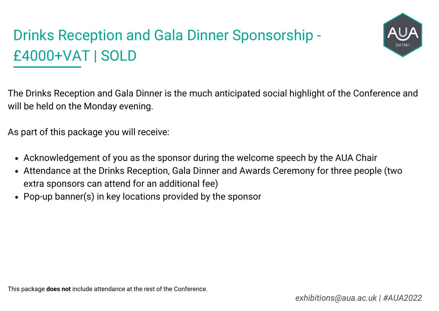# Drinks Reception and Gala Dinner Sponsorship - £4000+VAT | SOLD



The Drinks Reception and Gala Dinner is the much anticipated social highlight of the Conference and will be held on the Monday evening.

As part of this package you will receive:

- Acknowledgement of you as the sponsor during the welcome speech by the AUA Chair
- Attendance at the Drinks Reception, Gala Dinner and Awards Ceremony for three people (two extra sponsors can attend for an additional fee)
- Pop-up banner(s) in key locations provided by the sponsor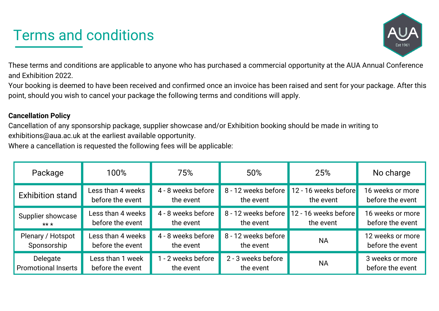### Terms and conditions



These terms and conditions are applicable to anyone who has purchased a commercial opportunity at the AUA Annual Conference and Exhibition 2022.

Your booking is deemed to have been received and confirmed once an invoice has been raised and sent for your package. After this point, should you wish to cancel your package the following terms and conditions will apply.

#### **Cancellation Policy**

Cancellation of any sponsorship package, supplier showcase and/or Exhibition booking should be made in writing to exhibitions@aua.ac.uk at the earliest available opportunity.

Where a cancellation is requested the following fees will be applicable:

| Package                    | 100%              | 75%                | 50%                 | 25%                                      | No charge        |
|----------------------------|-------------------|--------------------|---------------------|------------------------------------------|------------------|
| <b>Exhibition stand</b>    | Less than 4 weeks | 4 - 8 weeks before | 8 - 12 weeks before | 12 - 16 weeks before                     | 16 weeks or more |
|                            | before the event  | the event          | the event           | the event                                | before the event |
| Supplier showcase          | Less than 4 weeks | 4 - 8 weeks before | the event           | 8 - 12 weeks before 12 - 16 weeks before | 16 weeks or more |
| $***$                      | before the event  | the event          |                     | the event                                | before the event |
| Plenary / Hotspot          | Less than 4 weeks | 4 - 8 weeks before | 8 - 12 weeks before | <b>NA</b>                                | 12 weeks or more |
| Sponsorship                | before the event  | the event          | the event           |                                          | before the event |
| Delegate                   | Less than 1 week  | 1 - 2 weeks before | 2 - 3 weeks before  | <b>NA</b>                                | 3 weeks or more  |
| <b>Promotional Inserts</b> | before the event  | the event          | the event           |                                          | before the event |